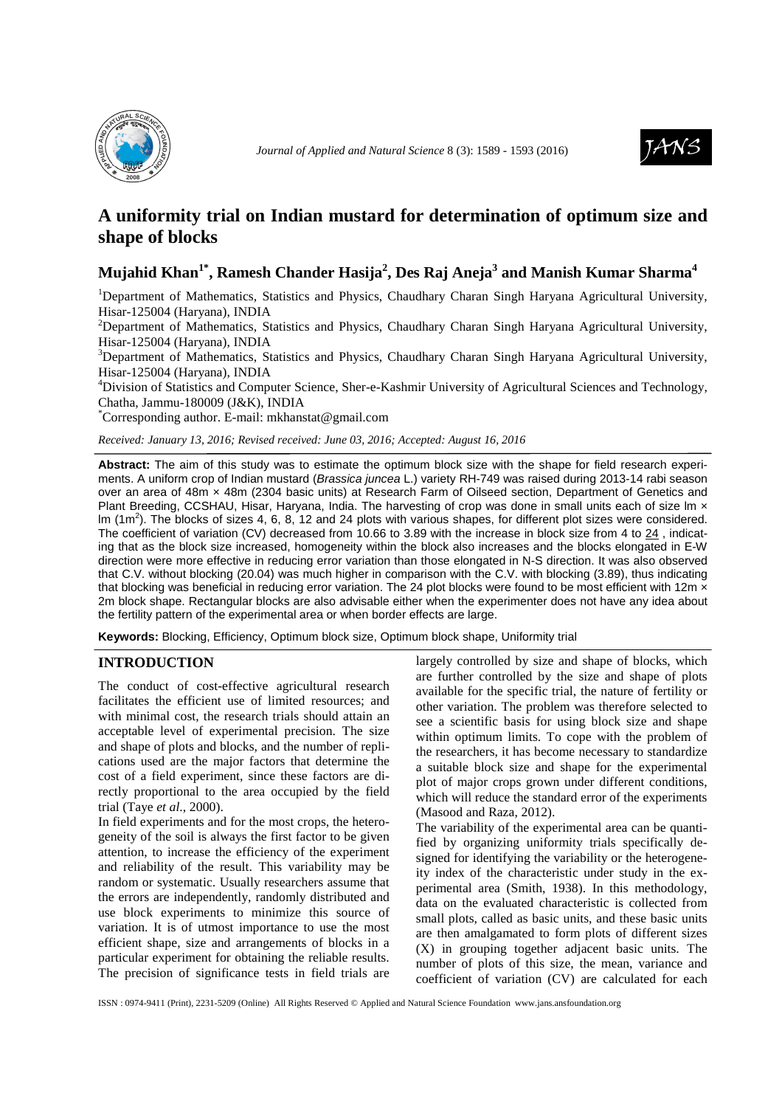



# **A uniformity trial on Indian mustard for determination of optimum size and shape of blocks**

## **Mujahid Khan1\*, Ramesh Chander Hasija<sup>2</sup> , Des Raj Aneja<sup>3</sup> and Manish Kumar Sharma<sup>4</sup>**

<sup>1</sup>Department of Mathematics, Statistics and Physics, Chaudhary Charan Singh Haryana Agricultural University, Hisar-125004 (Haryana), INDIA

<sup>2</sup>Department of Mathematics, Statistics and Physics, Chaudhary Charan Singh Haryana Agricultural University, Hisar-125004 (Haryana), INDIA

<sup>3</sup>Department of Mathematics, Statistics and Physics, Chaudhary Charan Singh Haryana Agricultural University, Hisar-125004 (Haryana), INDIA

<sup>4</sup>Division of Statistics and Computer Science, Sher-e-Kashmir University of Agricultural Sciences and Technology, Chatha, Jammu-180009 (J&K), INDIA

\*Corresponding author. E-mail: mkhanstat@gmail.com

*Received: January 13, 2016; Revised received: June 03, 2016; Accepted: August 16, 2016*

**Abstract:** The aim of this study was to estimate the optimum block size with the shape for field research experiments. A uniform crop of Indian mustard (Brassica juncea L.) variety RH-749 was raised during 2013-14 rabi season over an area of 48m × 48m (2304 basic units) at Research Farm of Oilseed section, Department of Genetics and Plant Breeding, CCSHAU, Hisar, Haryana, India. The harvesting of crop was done in small units each of size Im x Im  $(1m^2)$ . The blocks of sizes 4, 6, 8, 12 and 24 plots with various shapes, for different plot sizes were considered. The coefficient of variation (CV) decreased from 10.66 to 3.89 with the increase in block size from 4 to 24, indicating that as the block size increased, homogeneity within the block also increases and the blocks elongated in E-W direction were more effective in reducing error variation than those elongated in N-S direction. It was also observed that C.V. without blocking (20.04) was much higher in comparison with the C.V. with blocking (3.89), thus indicating that blocking was beneficial in reducing error variation. The 24 plot blocks were found to be most efficient with 12m x 2m block shape. Rectangular blocks are also advisable either when the experimenter does not have any idea about the fertility pattern of the experimental area or when border effects are large.

**Keywords:** Blocking, Efficiency, Optimum block size, Optimum block shape, Uniformity trial

#### **INTRODUCTION**

The conduct of cost-effective agricultural research facilitates the efficient use of limited resources; and with minimal cost, the research trials should attain an acceptable level of experimental precision. The size and shape of plots and blocks, and the number of replications used are the major factors that determine the cost of a field experiment, since these factors are directly proportional to the area occupied by the field trial (Taye *et al*., 2000).

In field experiments and for the most crops, the heterogeneity of the soil is always the first factor to be given attention, to increase the efficiency of the experiment and reliability of the result. This variability may be random or systematic. Usually researchers assume that the errors are independently, randomly distributed and use block experiments to minimize this source of variation. It is of utmost importance to use the most efficient shape, size and arrangements of blocks in a particular experiment for obtaining the reliable results. The precision of significance tests in field trials are

largely controlled by size and shape of blocks, which are further controlled by the size and shape of plots available for the specific trial, the nature of fertility or other variation. The problem was therefore selected to see a scientific basis for using block size and shape within optimum limits. To cope with the problem of the researchers, it has become necessary to standardize a suitable block size and shape for the experimental plot of major crops grown under different conditions, which will reduce the standard error of the experiments (Masood and Raza, 2012).

The variability of the experimental area can be quantified by organizing uniformity trials specifically designed for identifying the variability or the heterogeneity index of the characteristic under study in the experimental area (Smith, 1938). In this methodology, data on the evaluated characteristic is collected from small plots, called as basic units, and these basic units are then amalgamated to form plots of different sizes (X) in grouping together adjacent basic units. The number of plots of this size, the mean, variance and coefficient of variation (CV) are calculated for each

ISSN : 0974-9411 (Print), 2231-5209 (Online) All Rights Reserved © Applied and Natural Science Foundation www.jans.ansfoundation.org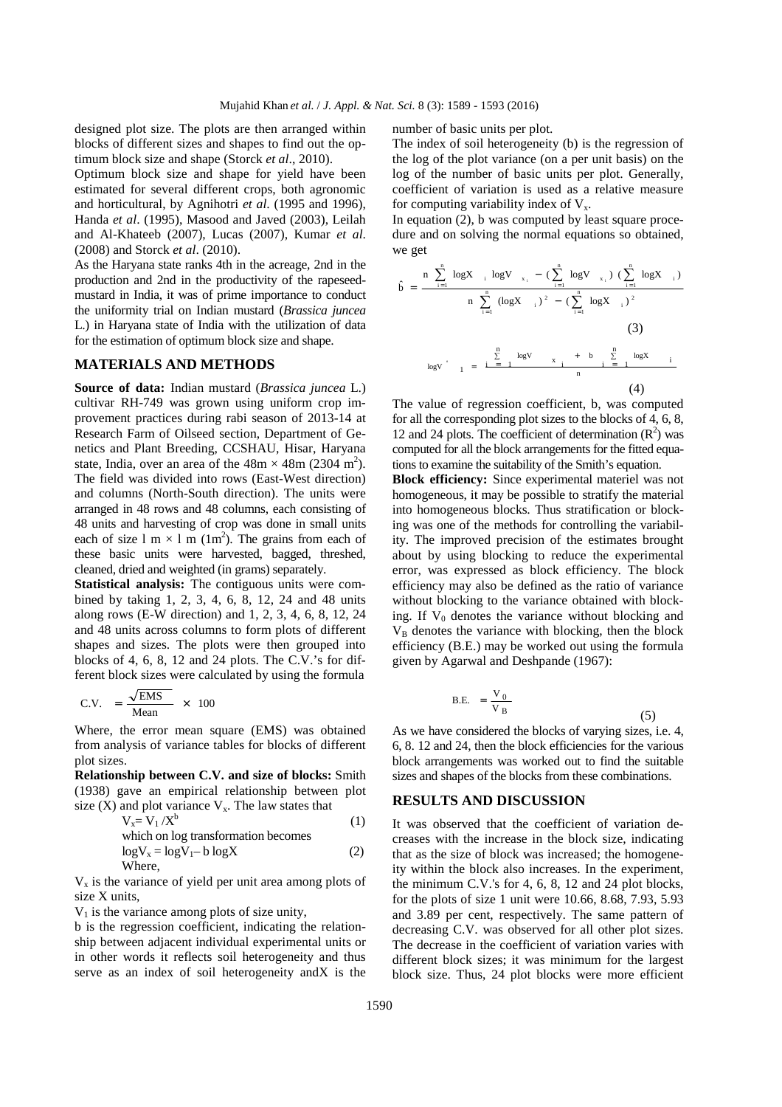designed plot size. The plots are then arranged within blocks of different sizes and shapes to find out the optimum block size and shape (Storck *et al*., 2010).

Optimum block size and shape for yield have been estimated for several different crops, both agronomic and horticultural, by Agnihotri *et al*. (1995 and 1996), Handa *et al*. (1995), Masood and Javed (2003), Leilah and Al-Khateeb (2007), Lucas (2007), Kumar *et al*. (2008) and Storck *et al*. (2010).

As the Haryana state ranks 4th in the acreage, 2nd in the production and 2nd in the productivity of the rapeseedmustard in India, it was of prime importance to conduct the uniformity trial on Indian mustard (*Brassica juncea* L.) in Haryana state of India with the utilization of data for the estimation of optimum block size and shape.

#### **MATERIALS AND METHODS**

**Source of data:** Indian mustard (*Brassica juncea* L.) cultivar RH-749 was grown using uniform crop improvement practices during rabi season of 2013-14 at Research Farm of Oilseed section, Department of Genetics and Plant Breeding, CCSHAU, Hisar, Haryana state, India, over an area of the  $48m \times 48m$  (2304 m<sup>2</sup>). The field was divided into rows (East-West direction) and columns (North-South direction). The units were arranged in 48 rows and 48 columns, each consisting of 48 units and harvesting of crop was done in small units each of size  $1 \text{ m} \times 1 \text{ m}$  (1m<sup>2</sup>). The grains from each of these basic units were harvested, bagged, threshed, cleaned, dried and weighted (in grams) separately.

**Statistical analysis:** The contiguous units were combined by taking 1, 2, 3, 4, 6, 8, 12, 24 and 48 units along rows (E-W direction) and 1, 2, 3, 4, 6, 8, 12, 24 and 48 units across columns to form plots of different shapes and sizes. The plots were then grouped into blocks of 4, 6, 8, 12 and 24 plots. The C.V.'s for different block sizes were calculated by using the formula

$$
C.V. = \frac{\sqrt{EMS}}{Mean} \times 100
$$

Where, the error mean square (EMS) was obtained from analysis of variance tables for blocks of different plot sizes.

**Relationship between C.V. and size of blocks:** Smith (1938) gave an empirical relationship between plot size  $(X)$  and plot variance  $V_x$ . The law states that

$$
V_x = V_1 / X^b
$$
 (1)  
which on log transformation becomes  

$$
log V_x = log V_1 - b log X
$$
 (2)  
Where.

 $V_x$  is the variance of yield per unit area among plots of size X units,

 $V_1$  is the variance among plots of size unity,

b is the regression coefficient, indicating the relationship between adjacent individual experimental units or in other words it reflects soil heterogeneity and thus serve as an index of soil heterogeneity andX is the number of basic units per plot.

The index of soil heterogeneity (b) is the regression of the log of the plot variance (on a per unit basis) on the log of the number of basic units per plot. Generally, coefficient of variation is used as a relative measure for computing variability index of  $V_x$ .

In equation (2), b was computed by least square procedure and on solving the normal equations so obtained, we get

$$
\hat{b} = \frac{n \sum_{i=1}^{n} \log X_{-i} \log V_{-x_{i}} - (\sum_{i=1}^{n} \log V_{-x_{i}}) (\sum_{i=1}^{n} \log X_{-i})}{n \sum_{i=1}^{n} (\log X_{-i})^{2} - (\sum_{i=1}^{n} \log X_{-i})^{2}}
$$
\n(3)\n
$$
\log V_{-1} = \frac{\sum_{i=1}^{n} \log V_{-x_{i}} + b \sum_{i=1}^{n} \log X_{-i}}{n}
$$
\n(4)

The value of regression coefficient, b, was computed for all the corresponding plot sizes to the blocks of 4, 6, 8, 12 and 24 plots. The coefficient of determination  $(R^2)$  was computed for all the block arrangements for the fitted equations to examine the suitability of the Smith's equation.

**Block efficiency:** Since experimental materiel was not homogeneous, it may be possible to stratify the material into homogeneous blocks. Thus stratification or blocking was one of the methods for controlling the variability. The improved precision of the estimates brought about by using blocking to reduce the experimental error, was expressed as block efficiency. The block efficiency may also be defined as the ratio of variance without blocking to the variance obtained with blocking. If  $V_0$  denotes the variance without blocking and  $V<sub>B</sub>$  denotes the variance with blocking, then the block efficiency (B.E.) may be worked out using the formula given by Agarwal and Deshpande (1967):

$$
B.E. = \frac{V_0}{V_B}
$$
 (5)

As we have considered the blocks of varying sizes, i.e. 4, 6, 8. 12 and 24, then the block efficiencies for the various block arrangements was worked out to find the suitable sizes and shapes of the blocks from these combinations.

#### **RESULTS AND DISCUSSION**

It was observed that the coefficient of variation decreases with the increase in the block size, indicating that as the size of block was increased; the homogeneity within the block also increases. In the experiment, the minimum C.V.'s for 4, 6, 8, 12 and 24 plot blocks, for the plots of size 1 unit were 10.66, 8.68, 7.93, 5.93 and 3.89 per cent, respectively. The same pattern of decreasing C.V. was observed for all other plot sizes. The decrease in the coefficient of variation varies with different block sizes; it was minimum for the largest block size. Thus, 24 plot blocks were more efficient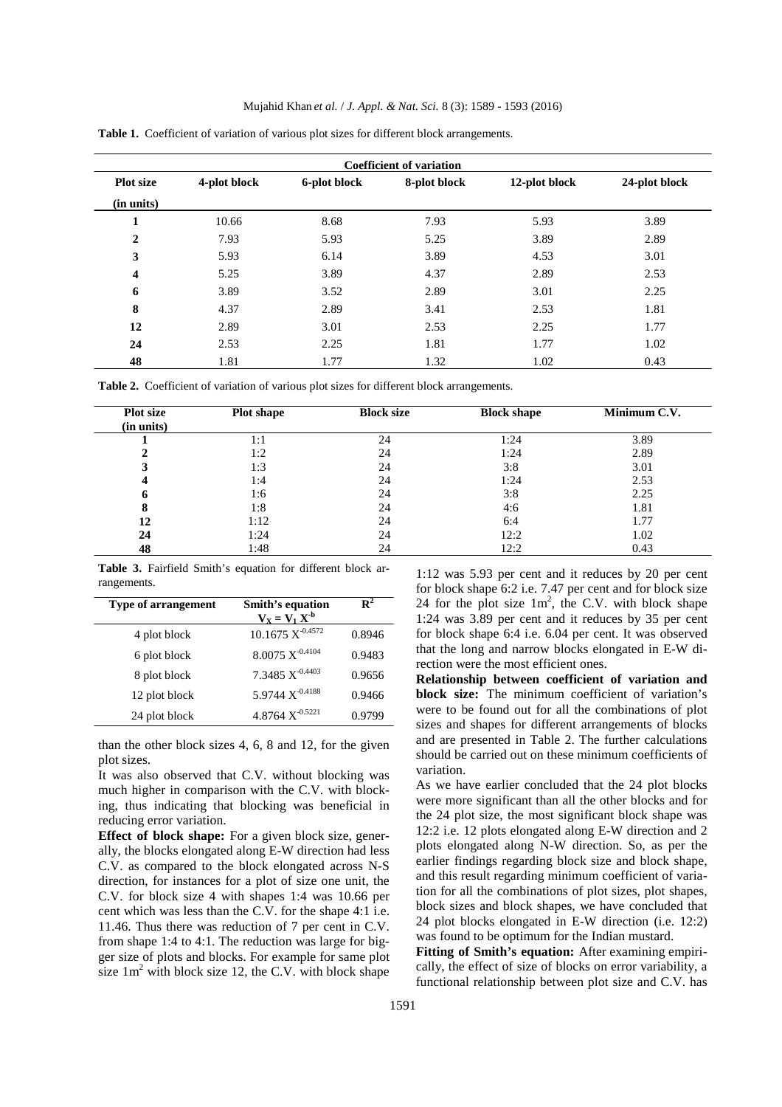| <b>Coefficient of variation</b> |              |              |              |               |               |  |  |  |
|---------------------------------|--------------|--------------|--------------|---------------|---------------|--|--|--|
| <b>Plot</b> size                | 4-plot block | 6-plot block | 8-plot block | 12-plot block | 24-plot block |  |  |  |
| (in units)                      |              |              |              |               |               |  |  |  |
| 1                               | 10.66        | 8.68         | 7.93         | 5.93          | 3.89          |  |  |  |
| $\overline{2}$                  | 7.93         | 5.93         | 5.25         | 3.89          | 2.89          |  |  |  |
| 3                               | 5.93         | 6.14         | 3.89         | 4.53          | 3.01          |  |  |  |
| 4                               | 5.25         | 3.89         | 4.37         | 2.89          | 2.53          |  |  |  |
| 6                               | 3.89         | 3.52         | 2.89         | 3.01          | 2.25          |  |  |  |
| 8                               | 4.37         | 2.89         | 3.41         | 2.53          | 1.81          |  |  |  |
| 12                              | 2.89         | 3.01         | 2.53         | 2.25          | 1.77          |  |  |  |
| 24                              | 2.53         | 2.25         | 1.81         | 1.77          | 1.02          |  |  |  |
| 48                              | 1.81         | 1.77         | 1.32         | 1.02          | 0.43          |  |  |  |

**Table 1.** Coefficient of variation of various plot sizes for different block arrangements.

**Table 2.** Coefficient of variation of various plot sizes for different block arrangements.

| <b>Plot size</b><br>(in units) | Plot shape | <b>Block size</b> | <b>Block shape</b> | Minimum C.V. |
|--------------------------------|------------|-------------------|--------------------|--------------|
|                                | 1:1        | 24                | 1:24               | 3.89         |
|                                | 1:2        | 24                | 1:24               | 2.89         |
|                                | 1:3        | 24                | 3:8                | 3.01         |
|                                | 1:4        | 24                | 1:24               | 2.53         |
| o                              | 1:6        | 24                | 3:8                | 2.25         |
| ō                              | 1:8        | 24                | 4:6                | 1.81         |
| 12                             | 1:12       | 24                | 6:4                | 1.77         |
| 24                             | 1:24       | 24                | 12:2               | 1.02         |
| 48                             | 1:48       | 24                | 12:2               | 0.43         |

**Table 3.** Fairfield Smith's equation for different block arrangements.

| <b>Type of arrangement</b> | Smith's equation<br>$V_X = V_1 X^{-b}$ | $\mathbf{R}^2$ |
|----------------------------|----------------------------------------|----------------|
| 4 plot block               | $10.1675 X^{-0.4572}$                  | 0.8946         |
| 6 plot block               | $8.0075 X^{-0.4104}$                   | 0.9483         |
| 8 plot block               | 7.3485 $X^{-0.4403}$                   | 0.9656         |
| 12 plot block              | 5.9744 X <sup>-0.4188</sup>            | 0.9466         |
| 24 plot block              | 4.8764 $X^{-0.5221}$                   | 0.9799         |

than the other block sizes 4, 6, 8 and 12, for the given plot sizes.

It was also observed that C.V. without blocking was much higher in comparison with the C.V. with blocking, thus indicating that blocking was beneficial in reducing error variation.

**Effect of block shape:** For a given block size, generally, the blocks elongated along E-W direction had less C.V. as compared to the block elongated across N-S direction, for instances for a plot of size one unit, the C.V. for block size 4 with shapes 1:4 was 10.66 per cent which was less than the C.V. for the shape 4:1 i.e. 11.46. Thus there was reduction of 7 per cent in C.V. from shape 1:4 to 4:1. The reduction was large for bigger size of plots and blocks. For example for same plot size  $1 \text{ m}^2$  with block size 12, the C.V. with block shape

1:12 was 5.93 per cent and it reduces by 20 per cent for block shape 6:2 i.e. 7.47 per cent and for block size 24 for the plot size  $1m^2$ , the C.V. with block shape 1:24 was 3.89 per cent and it reduces by 35 per cent for block shape 6:4 i.e. 6.04 per cent. It was observed that the long and narrow blocks elongated in E-W direction were the most efficient ones.

**Relationship between coefficient of variation and block size:** The minimum coefficient of variation's were to be found out for all the combinations of plot sizes and shapes for different arrangements of blocks and are presented in Table 2. The further calculations should be carried out on these minimum coefficients of variation.

As we have earlier concluded that the 24 plot blocks were more significant than all the other blocks and for the 24 plot size, the most significant block shape was 12:2 i.e. 12 plots elongated along E-W direction and 2 plots elongated along N-W direction. So, as per the earlier findings regarding block size and block shape, and this result regarding minimum coefficient of variation for all the combinations of plot sizes, plot shapes, block sizes and block shapes, we have concluded that 24 plot blocks elongated in E-W direction (i.e. 12:2) was found to be optimum for the Indian mustard.

**Fitting of Smith's equation:** After examining empirically, the effect of size of blocks on error variability, a functional relationship between plot size and C.V. has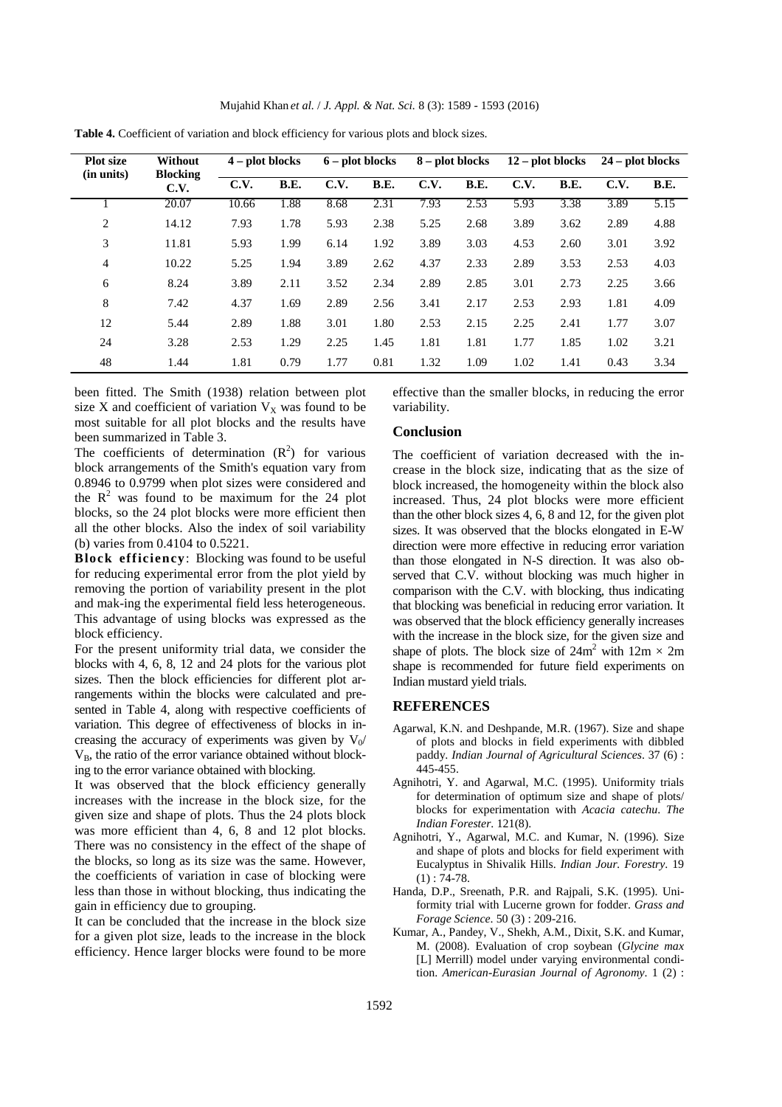| <b>Plot</b> size<br>(in units) | Without<br><b>Blocking</b><br>C.V. | $4$ – plot blocks |             | $6$ – plot blocks |             | $8 - plot blocks$ |             | $12$ – plot blocks |             | $24$ – plot blocks |             |
|--------------------------------|------------------------------------|-------------------|-------------|-------------------|-------------|-------------------|-------------|--------------------|-------------|--------------------|-------------|
|                                |                                    | C.V.              | <b>B.E.</b> | C.V.              | <b>B.E.</b> | C.V.              | <b>B.E.</b> | C.V.               | <b>B.E.</b> | C.V.               | <b>B.E.</b> |
|                                | 20.07                              | 10.66             | 1.88        | 8.68              | 2.31        | 7.93              | 2.53        | 5.93               | 3.38        | 3.89               | 5.15        |
| 2                              | 14.12                              | 7.93              | 1.78        | 5.93              | 2.38        | 5.25              | 2.68        | 3.89               | 3.62        | 2.89               | 4.88        |
| 3                              | 11.81                              | 5.93              | 1.99        | 6.14              | 1.92        | 3.89              | 3.03        | 4.53               | 2.60        | 3.01               | 3.92        |
| 4                              | 10.22                              | 5.25              | 1.94        | 3.89              | 2.62        | 4.37              | 2.33        | 2.89               | 3.53        | 2.53               | 4.03        |
| 6                              | 8.24                               | 3.89              | 2.11        | 3.52              | 2.34        | 2.89              | 2.85        | 3.01               | 2.73        | 2.25               | 3.66        |
| 8                              | 7.42                               | 4.37              | 1.69        | 2.89              | 2.56        | 3.41              | 2.17        | 2.53               | 2.93        | 1.81               | 4.09        |
| 12                             | 5.44                               | 2.89              | 1.88        | 3.01              | 1.80        | 2.53              | 2.15        | 2.25               | 2.41        | 1.77               | 3.07        |
| 24                             | 3.28                               | 2.53              | 1.29        | 2.25              | 1.45        | 1.81              | 1.81        | 1.77               | 1.85        | 1.02               | 3.21        |
| 48                             | 1.44                               | 1.81              | 0.79        | 1.77              | 0.81        | 1.32              | 1.09        | 1.02               | 1.41        | 0.43               | 3.34        |

**Table 4.** Coefficient of variation and block efficiency for various plots and block sizes.

been fitted. The Smith (1938) relation between plot size X and coefficient of variation  $V_X$  was found to be most suitable for all plot blocks and the results have been summarized in Table 3.

The coefficients of determination  $(R^2)$  for various block arrangements of the Smith's equation vary from 0.8946 to 0.9799 when plot sizes were considered and the  $R^2$  was found to be maximum for the 24 plot blocks, so the 24 plot blocks were more efficient then all the other blocks. Also the index of soil variability (b) varies from 0.4104 to 0.5221.

**Block efficiency**: Blocking was found to be useful for reducing experimental error from the plot yield by removing the portion of variability present in the plot and mak-ing the experimental field less heterogeneous. This advantage of using blocks was expressed as the block efficiency.

For the present uniformity trial data, we consider the blocks with 4, 6, 8, 12 and 24 plots for the various plot sizes. Then the block efficiencies for different plot arrangements within the blocks were calculated and presented in Table 4, along with respective coefficients of variation. This degree of effectiveness of blocks in increasing the accuracy of experiments was given by  $V_0$ /  $V_B$ , the ratio of the error variance obtained without blocking to the error variance obtained with blocking.

It was observed that the block efficiency generally increases with the increase in the block size, for the given size and shape of plots. Thus the 24 plots block was more efficient than 4, 6, 8 and 12 plot blocks. There was no consistency in the effect of the shape of the blocks, so long as its size was the same. However, the coefficients of variation in case of blocking were less than those in without blocking, thus indicating the gain in efficiency due to grouping.

It can be concluded that the increase in the block size for a given plot size, leads to the increase in the block efficiency. Hence larger blocks were found to be more effective than the smaller blocks, in reducing the error variability.

### **Conclusion**

The coefficient of variation decreased with the increase in the block size, indicating that as the size of block increased, the homogeneity within the block also increased. Thus, 24 plot blocks were more efficient than the other block sizes 4, 6, 8 and 12, for the given plot sizes. It was observed that the blocks elongated in E-W direction were more effective in reducing error variation than those elongated in N-S direction. It was also observed that C.V. without blocking was much higher in comparison with the C.V. with blocking, thus indicating that blocking was beneficial in reducing error variation. It was observed that the block efficiency generally increases with the increase in the block size, for the given size and shape of plots. The block size of  $24m^2$  with  $12m \times 2m$ shape is recommended for future field experiments on Indian mustard yield trials.

#### **REFERENCES**

- Agarwal, K.N. and Deshpande, M.R. (1967). Size and shape of plots and blocks in field experiments with dibbled paddy. *Indian Journal of Agricultural Sciences*. 37 (6) : 445-455.
- Agnihotri, Y. and Agarwal, M.C. (1995). Uniformity trials for determination of optimum size and shape of plots/ blocks for experimentation with *Acacia catechu*. *The Indian Forester*. 121(8).
- Agnihotri, Y., Agarwal, M.C. and Kumar, N. (1996). Size and shape of plots and blocks for field experiment with Eucalyptus in Shivalik Hills. *Indian Jour. Forestry*. 19  $(1)$ : 74-78.
- Handa, D.P., Sreenath, P.R. and Rajpali, S.K. (1995). Uniformity trial with Lucerne grown for fodder. *Grass and Forage Science*. 50 (3) : 209-216.
- Kumar, A., Pandey, V., Shekh, A.M., Dixit, S.K. and Kumar, M. (2008). Evaluation of crop soybean (*Glycine max* [L] Merrill) model under varying environmental condition. *American-Eurasian Journal of Agronomy*. 1 (2) :